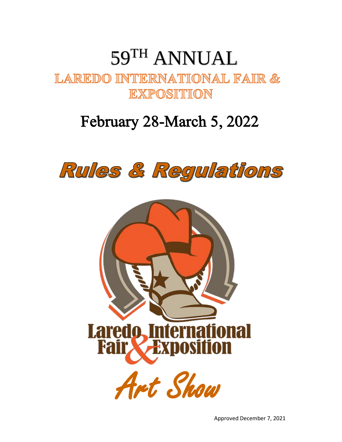# **LAREDO INTERNATIONAL FAIR &**<br>EXPOSITION 59 TH ANNUAL

# February 28-March 5, 2022



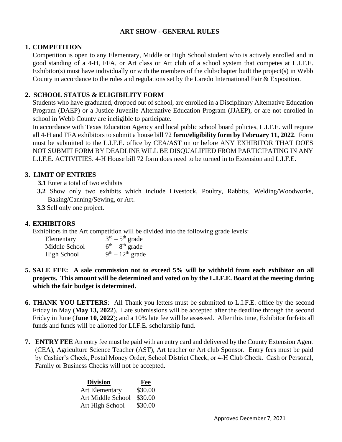#### **ART SHOW - GENERAL RULES**

#### **1. COMPETITION**

Competition is open to any Elementary, Middle or High School student who is actively enrolled and in good standing of a 4-H, FFA, or Art class or Art club of a school system that competes at L.I.F.E. Exhibitor(s) must have individually or with the members of the club/chapter built the project(s) in Webb County in accordance to the rules and regulations set by the Laredo International Fair & Exposition.

#### **2. SCHOOL STATUS & ELIGIBILITY FORM**

Students who have graduated, dropped out of school, are enrolled in a Disciplinary Alternative Education Program (DAEP) or a Justice Juvenile Alternative Education Program (JJAEP), or are not enrolled in school in Webb County are ineligible to participate.

In accordance with Texas Education Agency and local public school board policies, L.I.F.E. will require all 4-H and FFA exhibitors to submit a house bill 72 **form/eligibility form by February 11, 2022**. Form must be submitted to the L.I.F.E. office by CEA/AST on or before ANY EXHIBITOR THAT DOES NOT SUBMIT FORM BY DEADLINE WILL BE DISQUALIFIED FROM PARTICIPATING IN ANY L.I.F.E. ACTIVITIES. 4-H House bill 72 form does need to be turned in to Extension and L.I.F.E.

### **3. LIMIT OF ENTRIES**

**3.1** Enter a total of two exhibits

**3.2** Show only two exhibits which include Livestock, Poultry, Rabbits, Welding/Woodworks, Baking/Canning/Sewing, or Art.

**3.3** Sell only one project.

#### **4. EXHIBITORS**

Exhibitors in the Art competition will be divided into the following grade levels:

| Elementary         | $3rd - 5th$ grade  |
|--------------------|--------------------|
| Middle School      | $6th - 8th$ grade  |
| <b>High School</b> | $9th - 12th$ grade |

- **5. SALE FEE: A sale commission not to exceed 5% will be withheld from each exhibitor on all projects. This amount will be determined and voted on by the L.I.F.E. Board at the meeting during which the fair budget is determined.**
- **6. THANK YOU LETTERS**: All Thank you letters must be submitted to L.I.F.E. office by the second Friday in May (**May 13, 2022**). Late submissions will be accepted after the deadline through the second Friday in June (**June 10, 2022**); and a 10% late fee will be assessed. After this time, Exhibitor forfeits all funds and funds will be allotted for LI.F.E. scholarship fund.
- **7. ENTRY FEE** An entry fee must be paid with an entry card and delivered by the County Extension Agent (CEA), Agriculture Science Teacher (AST), Art teacher or Art club Sponsor. Entry fees must be paid by Cashier's Check, Postal Money Order, School District Check, or 4-H Club Check. Cash or Personal, Family or Business Checks will not be accepted.

| <b>Division</b>       | Fee     |
|-----------------------|---------|
| <b>Art Elementary</b> | \$30.00 |
| Art Middle School     | \$30.00 |
| Art High School       | \$30.00 |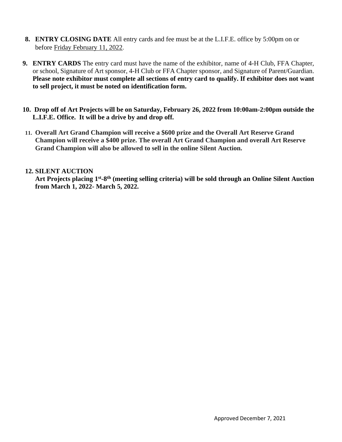- **8. ENTRY CLOSING DATE** All entry cards and fee must be at the L.I.F.E. office by 5:00pm on or before Friday February 11, 2022.
- **9. ENTRY CARDS** The entry card must have the name of the exhibitor, name of 4-H Club, FFA Chapter, or school, Signature of Art sponsor, 4-H Club or FFA Chapter sponsor, and Signature of Parent/Guardian. **Please note exhibitor must complete all sections of entry card to qualify. If exhibitor does not want to sell project, it must be noted on identification form.**
- **10. Drop off of Art Projects will be on Saturday, February 26, 2022 from 10:00am-2:00pm outside the L.I.F.E. Office. It will be a drive by and drop off.**
- **11. Overall Art Grand Champion will receive a \$600 prize and the Overall Art Reserve Grand Champion will receive a \$400 prize. The overall Art Grand Champion and overall Art Reserve Grand Champion will also be allowed to sell in the online Silent Auction.**

#### **12. SILENT AUCTION**

Art Projects placing 1<sup>st</sup>-8<sup>th</sup> (meeting selling criteria) will be sold through an Online Silent Auction **from March 1, 2022- March 5, 2022.**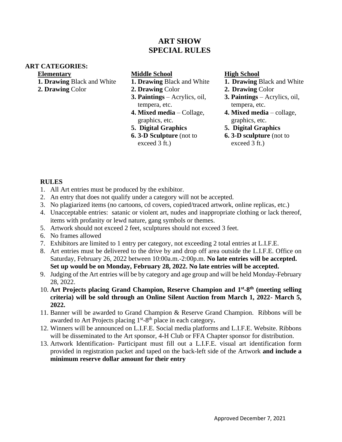# **ART SHOW SPECIAL RULES**

#### **ART CATEGORIES:**

#### **Elementary**

- **1. Drawing** Black and White
- **2. Drawing** Color

# **Middle School**

- **1. Drawing** Black and White
- **2. Drawing** Color
- **3. Paintings** Acrylics, oil, tempera, etc.
- **4. Mixed media**  Collage, graphics, etc.
- **5. Digital Graphics**
- **6. 3-D Sculpture** (not to exceed 3 ft.)

# **High School**

- **1. Drawing** Black and White
- **2. Drawing** Color
- **3. Paintings** Acrylics, oil, tempera, etc.
- **4. Mixed media** collage, graphics, etc.
- **5. Digital Graphics**
- **6. 3-D sculpture** (not to exceed 3 ft.)

#### **RULES**

- 1. All Art entries must be produced by the exhibitor.
- 2. An entry that does not qualify under a category will not be accepted.
- 3. No plagiarized items (no cartoons, cd covers, copied/traced artwork, online replicas, etc.)
- 4. Unacceptable entries: satanic or violent art, nudes and inappropriate clothing or lack thereof, items with profanity or lewd nature, gang symbols or themes.
- 5. Artwork should not exceed 2 feet, sculptures should not exceed 3 feet.
- 6. No frames allowed
- 7. Exhibitors are limited to 1 entry per category, not exceeding 2 total entries at L.I.F.E.
- 8. Art entries must be delivered to the drive by and drop off area outside the L.I.F.E. Office on Saturday, February 26, 2022 between 10:00a.m.-2:00p.m. **No late entries will be accepted. Set up would be on Monday, February 28, 2022. No late entries will be accepted.**
- 9. Judging of the Art entries will be by category and age group and will be held Monday-February 28, 2022.
- 10. Art Projects placing Grand Champion, Reserve Champion and  $1<sup>st</sup>$ -8<sup>th</sup> (meeting selling **criteria) will be sold through an Online Silent Auction from March 1, 2022- March 5, 2022.**
- 11. Banner will be awarded to Grand Champion & Reserve Grand Champion. Ribbons will be awarded to Art Projects placing 1<sup>st</sup>-8<sup>th</sup> place in each category.
- 12. Winners will be announced on L.I.F.E. Social media platforms and L.I.F.E. Website. Ribbons will be disseminated to the Art sponsor, 4-H Club or FFA Chapter sponsor for distribution.
- 13. Artwork Identification- Participant must fill out a L.I.F.E. visual art identification form provided in registration packet and taped on the back-left side of the Artwork **and include a minimum reserve dollar amount for their entry**